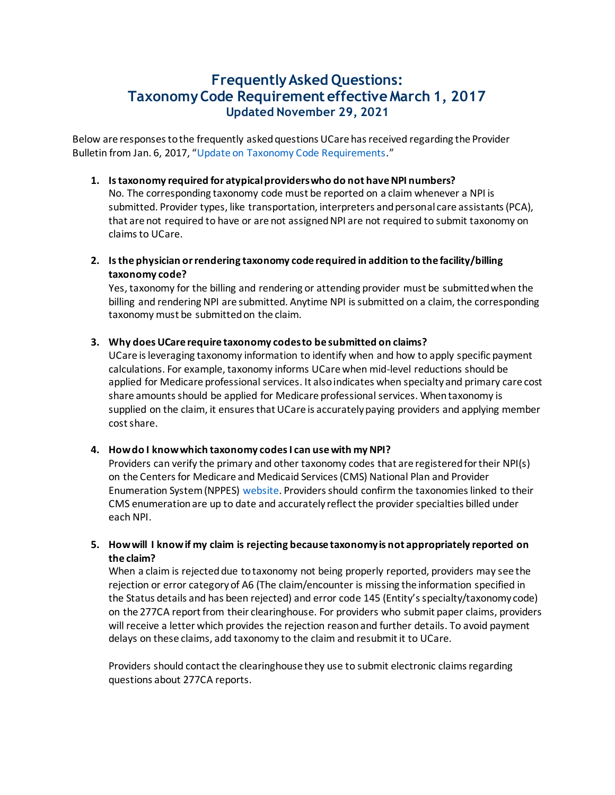# **Frequently Asked Questions: Taxonomy Code Requirement effective March 1, 2017 Updated November 29, 2021**

Below are responses to the frequently asked questions UCare has received regarding the Provider Bulletin from Jan. 6, 2017, "Update on Taxonomy Code Requirements."

#### **1. Is taxonomy required for atypical providers who do not have NPI numbers?**

No. The corresponding taxonomy code must be reported on a claim whenever a NPI is submitted. Provider types, like transportation, interpreters and personal care assistants (PCA), that are not required to have or are not assigned NPI are not required to submit taxonomy on claims to UCare.

**2. Is the physician or rendering taxonomy code required in addition to the facility/billing taxonomy code?**

Yes, taxonomy for the billing and rendering or attending provider must be submitted when the billing and rendering NPI are submitted. Anytime NPI is submitted on a claim, the corresponding taxonomy must be submitted on the claim.

## **3. Why does UCare require taxonomy codes to be submitted on claims?**

UCare is leveraging taxonomy information to identify when and how to apply specific payment calculations. For example, taxonomy informs UCare when mid-level reductions should be applied for Medicare professional services. It also indicates when specialty and primary care cost share amounts should be applied for Medicare professional services. When taxonomy is supplied on the claim, it ensures that UCare is accurately paying providers and applying member cost share.

## **4. How do I know which taxonomy codes I can use with my NPI?**

Providers can verify the primary and other taxonomy codes that are registered for their NPI(s) on the Centers for Medicare and Medicaid Services (CMS) National Plan and Provider Enumeration System (NPPES) website. Providers should confirm the taxonomies linked to their CMS enumeration are up to date and accurately reflect the provider specialties billed under each NPI.

## **5. How will I know if my claim is rejecting because taxonomy is not appropriately reported on the claim?**

When a claim is rejected due to taxonomy not being properly reported, providers may see the rejection or error category of A6 (The claim/encounter is missing the information specified in the Status details and has been rejected) and error code 145 (Entity's specialty/taxonomy code) on the 277CA report from their clearinghouse. For providers who submit paper claims, providers will receive a letter which provides the rejection reason and further details. To avoid payment delays on these claims, add taxonomy to the claim and resubmit it to UCare.

Providers should contact the clearinghouse they use to submit electronic claims regarding questions about 277CA reports.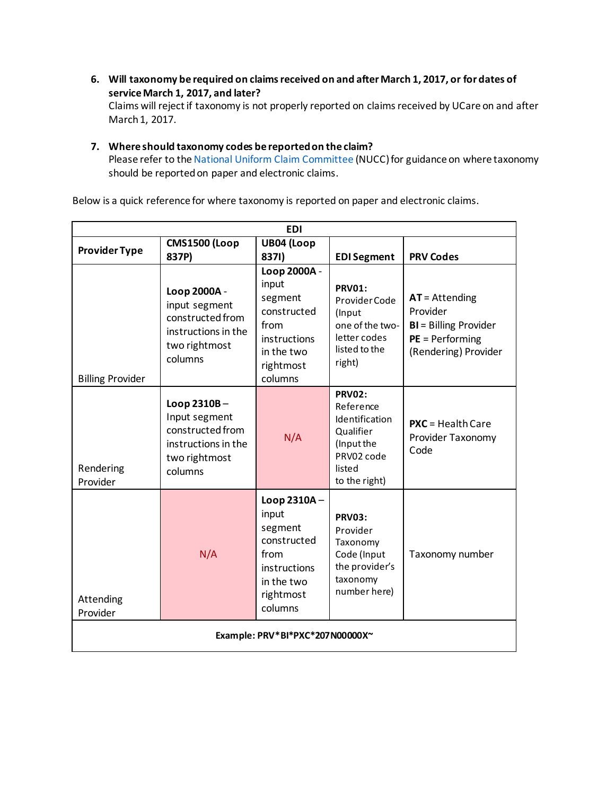**6. Will taxonomy be required on claims received on and after March 1, 2017, or for dates of service March 1, 2017, and later?**

Claims will reject if taxonomy is not properly reported on claims received by UCare on and after March 1, 2017.

#### **7. Where should taxonomy codes be reported on the claim?**

Please refer to the National Uniform Claim Committee (NUCC) for guidance on where taxonomy should be reported on paper and electronic claims.

Below is a quick reference for where taxonomy is reported on paper and electronic claims.

| <b>EDI</b>                      |                                                                                                      |                                                                                                               |                                                                                                                  |                                                                                                            |
|---------------------------------|------------------------------------------------------------------------------------------------------|---------------------------------------------------------------------------------------------------------------|------------------------------------------------------------------------------------------------------------------|------------------------------------------------------------------------------------------------------------|
|                                 | <b>CMS1500 (Loop</b>                                                                                 | UB04 (Loop                                                                                                    |                                                                                                                  |                                                                                                            |
| <b>Provider Type</b>            | 837P)                                                                                                | 8371)                                                                                                         | <b>EDI Segment</b>                                                                                               | <b>PRV Codes</b>                                                                                           |
| <b>Billing Provider</b>         | Loop 2000A -<br>input segment<br>constructed from<br>instructions in the<br>two rightmost<br>columns | Loop 2000A -<br>input<br>segment<br>constructed<br>from<br>instructions<br>in the two<br>rightmost<br>columns | <b>PRV01:</b><br>Provider Code<br>(Input<br>one of the two-<br>letter codes<br>listed to the<br>right)           | $AT =$ Attending<br>Provider<br><b>BI</b> = Billing Provider<br>$PE = Performance$<br>(Rendering) Provider |
| Rendering<br>Provider           | Loop 2310B-<br>Input segment<br>constructed from<br>instructions in the<br>two rightmost<br>columns  | N/A                                                                                                           | <b>PRV02:</b><br>Reference<br>Identification<br>Qualifier<br>(Input the<br>PRV02 code<br>listed<br>to the right) | $PXC = Health Care$<br>Provider Taxonomy<br>Code                                                           |
| Attending<br>Provider           | N/A                                                                                                  | Loop 2310A-<br>input<br>segment<br>constructed<br>from<br>instructions<br>in the two<br>rightmost<br>columns  | <b>PRV03:</b><br>Provider<br>Taxonomy<br>Code (Input<br>the provider's<br>taxonomy<br>number here)               | Taxonomy number                                                                                            |
| Example: PRV*BI*PXC*207N00000X~ |                                                                                                      |                                                                                                               |                                                                                                                  |                                                                                                            |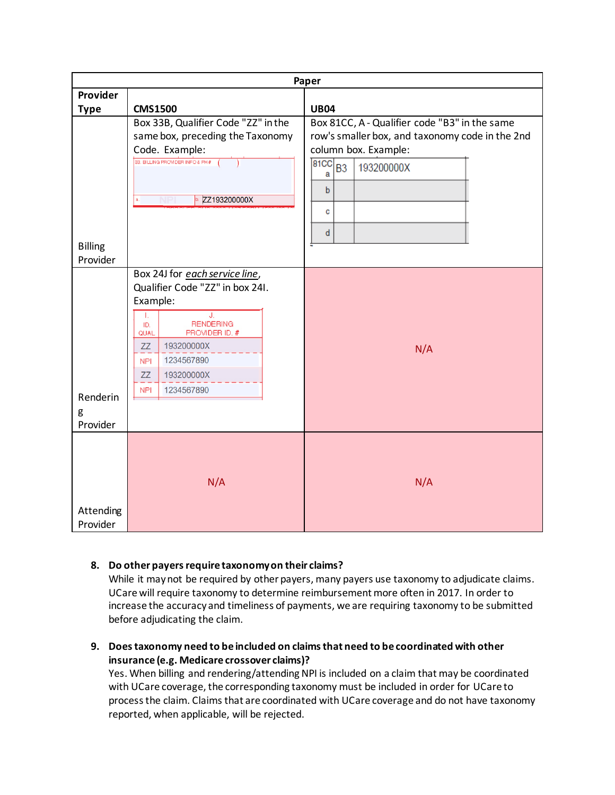| Paper          |                                                                   |                                                 |  |  |  |
|----------------|-------------------------------------------------------------------|-------------------------------------------------|--|--|--|
| Provider       |                                                                   |                                                 |  |  |  |
| <b>Type</b>    | <b>CMS1500</b>                                                    | <b>UB04</b>                                     |  |  |  |
|                | Box 33B, Qualifier Code "ZZ" in the                               | Box 81CC, A - Qualifier code "B3" in the same   |  |  |  |
|                | same box, preceding the Taxonomy                                  | row's smaller box, and taxonomy code in the 2nd |  |  |  |
|                | Code. Example:                                                    | column box. Example:                            |  |  |  |
|                | 33. BILLING PROVIDER INFO & PH #                                  | $\overline{\text{B1CC}}$ $B3$<br>193200000X     |  |  |  |
|                |                                                                   | a                                               |  |  |  |
|                | ZZ193200000X                                                      | $\mathbf b$                                     |  |  |  |
|                |                                                                   | c                                               |  |  |  |
|                |                                                                   |                                                 |  |  |  |
|                |                                                                   | d                                               |  |  |  |
| <b>Billing</b> |                                                                   |                                                 |  |  |  |
| Provider       |                                                                   |                                                 |  |  |  |
|                | Box 24J for each service line,<br>Qualifier Code "ZZ" in box 24I. |                                                 |  |  |  |
|                | Example:                                                          |                                                 |  |  |  |
|                | J.<br>Τ.                                                          |                                                 |  |  |  |
|                | <b>RENDERING</b><br>ID.                                           |                                                 |  |  |  |
|                | PROVIDER ID. #<br>QUAL<br>193200000X<br>ZZ                        |                                                 |  |  |  |
|                | 1234567890<br><b>NPI</b>                                          | N/A                                             |  |  |  |
|                | 193200000X<br>ZZ                                                  |                                                 |  |  |  |
|                |                                                                   |                                                 |  |  |  |
| Renderin       | 1234567890<br><b>NPI</b>                                          |                                                 |  |  |  |
| g              |                                                                   |                                                 |  |  |  |
| Provider       |                                                                   |                                                 |  |  |  |
|                |                                                                   |                                                 |  |  |  |
|                |                                                                   |                                                 |  |  |  |
|                |                                                                   |                                                 |  |  |  |
|                | N/A                                                               | N/A                                             |  |  |  |
|                |                                                                   |                                                 |  |  |  |
| Attending      |                                                                   |                                                 |  |  |  |
| Provider       |                                                                   |                                                 |  |  |  |

## **8. Do other payers require taxonomy on their claims?**

While it may not be required by other payers, many payers use taxonomy to adjudicate claims. UCare will require taxonomy to determine reimbursement more often in 2017. In order to increase the accuracy and timeliness of payments, we are requiring taxonomy to be submitted before adjudicating the claim.

**9. Does taxonomy need to be included on claims that need to be coordinated with other insurance (e.g. Medicare crossover claims)?**

Yes. When billing and rendering/attending NPI is included on a claim that may be coordinated with UCare coverage, the corresponding taxonomy must be included in order for UCare to process the claim. Claims that are coordinated with UCare coverage and do not have taxonomy reported, when applicable, will be rejected.